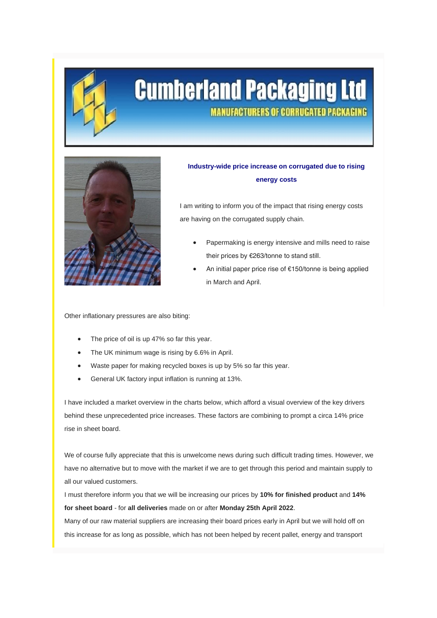

# **Cumberland Packaging Ltd MANUFACTURERS OF CORRUGATED PACKAGING**



### **Industry-wide price increase on corrugated due to rising energy costs**

I am writing to inform you of the impact that rising energy costs are having on the corrugated supply chain.

- Papermaking is energy intensive and mills need to raise their prices by €263/tonne to stand still.
- An initial paper price rise of €150/tonne is being applied in March and April.

Other inflationary pressures are also biting:

- The price of oil is up 47% so far this year.
- The UK minimum wage is rising by 6.6% in April.
- Waste paper for making recycled boxes is up by 5% so far this year.
- General UK factory input inflation is running at 13%.

I have included a market overview in the charts below, which afford a visual overview of the key drivers behind these unprecedented price increases. These factors are combining to prompt a circa 14% price rise in sheet board.

We of course fully appreciate that this is unwelcome news during such difficult trading times. However, we have no alternative but to move with the market if we are to get through this period and maintain supply to all our valued customers.

I must therefore inform you that we will be increasing our prices by **10% for finished product** and **14% for sheet board** - for **all deliveries** made on or after **Monday 25th April 2022**.

Many of our raw material suppliers are increasing their board prices early in April but we will hold off on this increase for as long as possible, which has not been helped by recent pallet, energy and transport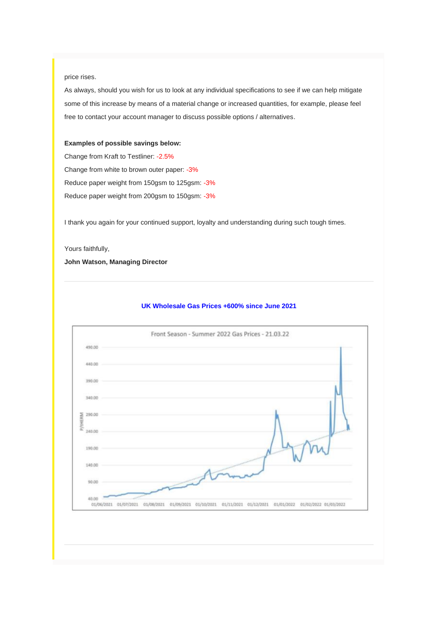### price rises.

As always, should you wish for us to look at any individual specifications to see if we can help mitigate some of this increase by means of a material change or increased quantities, for example, please feel free to contact your account manager to discuss possible options / alternatives.

#### *Examples of possible savings below:*

Change from Kraft to Testliner: -2.5% Change from white to brown outer paper: -3% Reduce paper weight from 150gsm to 125gsm: -3% Reduce paper weight from 200gsm to 150gsm: -3%

I thank you again for your continued support, loyalty and understanding during such tough times.

Yours faithfully,

**John Watson, Managing Director**

## Front Season - Summer 2022 Gas Prices - 21.03.22 490.00 440.00 390.00 340.00  $\begin{array}{l}\n\sum_{n=1}^{\infty} 190.00 \\
\sum_{n=1}^{\infty} 190.00\n\end{array}$ 240.00 190.00 140.00 90.00 40.00 01/06/2021 01/07/2021 01/08/2021 01/09/2021 01/10/2021 01/11/2021 01/12/2021 01/01/2022 01/02/2022 01/03/2022

### **UK Wholesale Gas Prices +600% since June 2021**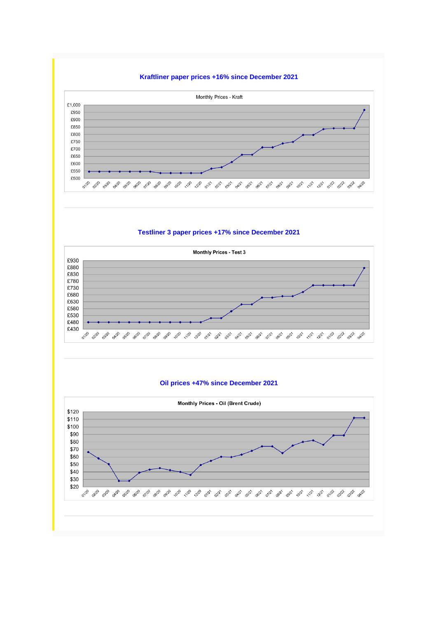



**Testliner 3 paper prices +17% since December 2021**



### **Oil prices +47% since December 2021**